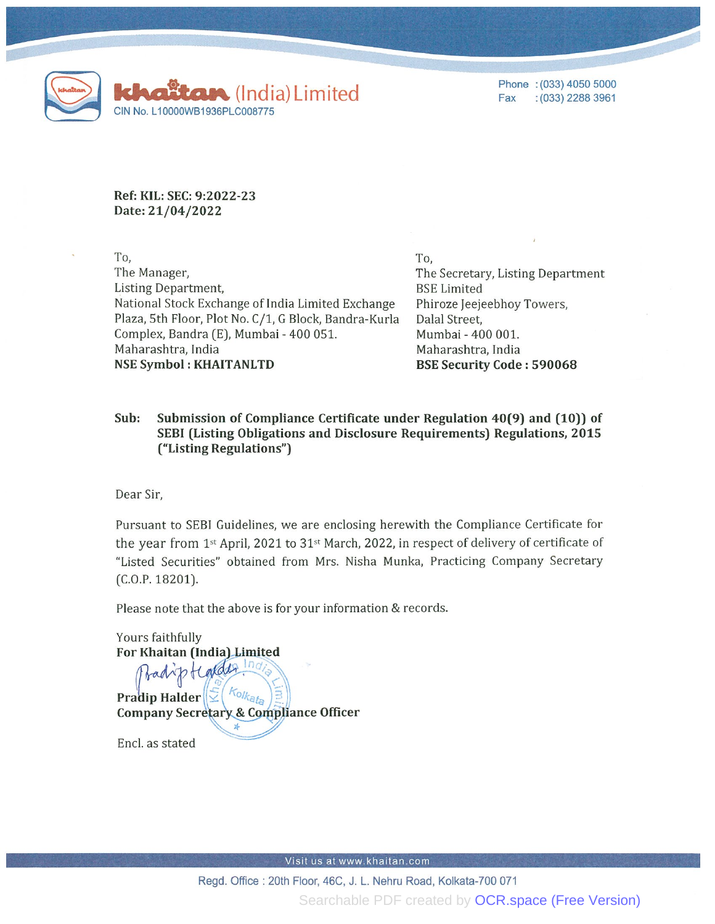

Phone : (033) 4050 5000 Fax :(033) 2288 3961

Ref: KIL: SEC: 9:2022-23 Date: 21/04/2022

To, The Manager, Listing Department, National Stock Exchange of India Limited Exchange Plaza, 5th Floor, Plot No. C/1, G Block, Bandra-Kurla Complex, Bandra (E), Mumbai - 400 051. Maharashtra, India NSE Symbol : KHAITANLTD

To, The Secretary, Listing Department BSE Limited Phiroze Jeejeebhoy Towers, Dalal Street, Mumbai - 400 001. Maharashtra, India BSE Security Code : 590068

## Sub: Submission of Compliance Certificate under Regulation 40(9) and (10)) of SEBI (Listing Obligations and Disclosure Requirements) Regulations, 2015 ("Listing Regulations")

Dear Sir,

Pursuant to SEBI Guidelines, we are enclosing herewith the Compliance Certificate for the year from 1st April, 2021 to 31st March, 2022, in respect of delivery of certificate of "Listed Securities" obtained from Mrs. Nisha Munka, Practicing Company Secretary (C.o.p. 18201).

Please note that the above is for your information & records.

Yours faithfully For Khaitan (India) Limited  $ln\sigma_i$ badiptional Pradip Halder  $\left\| \sum\right| \frac{\kappa_{0}}{\kappa_{a}}$ Company Secretary & Compliance Officer

Encl. as stated

Visit us at www.khaitan.com

Regd. Office : 20th Floor, 46C, J. L. Nehru Road, Kolkata-700 071 Searchable PDF created by **[OCR.space \(Free Version\)](https://ocr.space/searchablepdf#watermark)**